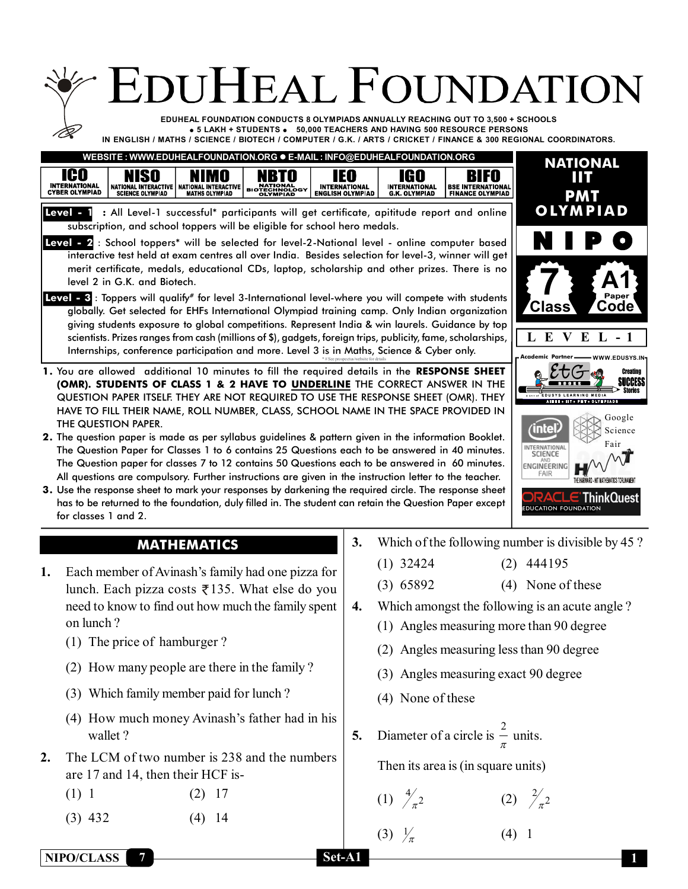|                                                                                                                            | <b>EDUHEAL FOUNDATION</b>                                                                                                                                                                                                                                                                                                                                                                                                                                                                                                                                                                                                                                                                                                                                                                                                                                                                                                                                                                                                                                                                                                                                                                                                                                                                                                                                                                                                                                                                                                                                                                                                                                                                                                                                                                                                                                                                                                                                                                                                       |                                                        |                                                                          |                                                                                                                            |                                                                                                                                                                                                                                                                                                                                              |
|----------------------------------------------------------------------------------------------------------------------------|---------------------------------------------------------------------------------------------------------------------------------------------------------------------------------------------------------------------------------------------------------------------------------------------------------------------------------------------------------------------------------------------------------------------------------------------------------------------------------------------------------------------------------------------------------------------------------------------------------------------------------------------------------------------------------------------------------------------------------------------------------------------------------------------------------------------------------------------------------------------------------------------------------------------------------------------------------------------------------------------------------------------------------------------------------------------------------------------------------------------------------------------------------------------------------------------------------------------------------------------------------------------------------------------------------------------------------------------------------------------------------------------------------------------------------------------------------------------------------------------------------------------------------------------------------------------------------------------------------------------------------------------------------------------------------------------------------------------------------------------------------------------------------------------------------------------------------------------------------------------------------------------------------------------------------------------------------------------------------------------------------------------------------|--------------------------------------------------------|--------------------------------------------------------------------------|----------------------------------------------------------------------------------------------------------------------------|----------------------------------------------------------------------------------------------------------------------------------------------------------------------------------------------------------------------------------------------------------------------------------------------------------------------------------------------|
|                                                                                                                            | EDUHEAL FOUNDATION CONDUCTS 8 OLYMPIADS ANNUALLY REACHING OUT TO 3,500 + SCHOOLS<br>● 5 LAKH + STUDENTS ● 50,000 TEACHERS AND HAVING 500 RESOURCE PERSONS<br>IN ENGLISH / MATHS / SCIENCE / BIOTECH / COMPUTER / G.K. / ARTS / CRICKET / FINANCE & 300 REGIONAL COORDINATORS.                                                                                                                                                                                                                                                                                                                                                                                                                                                                                                                                                                                                                                                                                                                                                                                                                                                                                                                                                                                                                                                                                                                                                                                                                                                                                                                                                                                                                                                                                                                                                                                                                                                                                                                                                   |                                                        |                                                                          |                                                                                                                            |                                                                                                                                                                                                                                                                                                                                              |
| ICO<br><b>NISO</b><br><b>INTERNATIONAL</b><br>CYBER OLYMPIAD<br><b>NATIONAL INTERACTIVE</b><br><b>SCIENCE OLYMPIAD</b>     | WEBSITE : WWW.EDUHEALFOUNDATION.ORG · E-MAIL : INFO@EDUHEALFOUNDATION.ORG<br>IM O<br>NBTO<br><b>NATIONAL INTERACTIVE</b><br><b>NATIONAL<br/>BIOTECHNOLOGY</b><br><b>MATHS OLYMPIAD</b><br><b>OLYMPIAD</b>                                                                                                                                                                                                                                                                                                                                                                                                                                                                                                                                                                                                                                                                                                                                                                                                                                                                                                                                                                                                                                                                                                                                                                                                                                                                                                                                                                                                                                                                                                                                                                                                                                                                                                                                                                                                                       | IEO<br><b>INTERNATIONAL</b><br><b>ENGLISH OLYMPIAD</b> | IGO<br><b>INTERNATIONAL</b><br><b>G.K. OLYMPIAD</b>                      | IFO<br><b>BSE INTERNATIONAL<br/>FINANCE OLYMPIAD</b>                                                                       | <b>NATIONAL</b><br>ШТ<br><b>PMT</b>                                                                                                                                                                                                                                                                                                          |
| level 2 in G.K. and Biotech.<br>THE QUESTION PAPER.<br>for classes 1 and 2.                                                | Level - 1 : All Level-1 successful* participants will get certificate, apititude report and online<br>subscription, and school toppers will be eligible for school hero medals.<br>Level - 2: School toppers* will be selected for level-2-National level - online computer based<br>interactive test held at exam centres all over India. Besides selection for level-3, winner will get<br>merit certificate, medals, educational CDs, laptop, scholarship and other prizes. There is no<br>Level - 3: Toppers will qualify# for level 3-International level-where you will compete with students<br>globally. Get selected for EHFs International Olympiad training camp. Only Indian organization<br>giving students exposure to global competitions. Represent India & win laurels. Guidance by top<br>scientists. Prizes ranges from cash (millions of \$), gadgets, foreign trips, publicity, fame, scholarships,<br>Internships, conference participation and more. Level 3 is in Maths, Science & Cyber only.<br>1. You are allowed additional 10 minutes to fill the required details in the RESPONSE SHEET<br>(OMR). STUDENTS OF CLASS 1 & 2 HAVE TO <b>UNDERLINE</b> THE CORRECT ANSWER IN THE<br>QUESTION PAPER ITSELF. THEY ARE NOT REQUIRED TO USE THE RESPONSE SHEET (OMR). THEY<br>HAVE TO FILL THEIR NAME, ROLL NUMBER, CLASS, SCHOOL NAME IN THE SPACE PROVIDED IN<br>2. The question paper is made as per syllabus guidelines & pattern given in the information Booklet.<br>The Question Paper for Classes 1 to 6 contains 25 Questions each to be answered in 40 minutes.<br>The Question paper for classes 7 to 12 contains 50 Questions each to be answered in 60 minutes.<br>All questions are compulsory. Further instructions are given in the instruction letter to the teacher.<br>3. Use the response sheet to mark your responses by darkening the required circle. The response sheet<br>has to be returned to the foundation, duly filled in. The student can retain the Question Paper except |                                                        |                                                                          |                                                                                                                            | <b>OLYMPIAD</b><br>Paper<br><b>Code</b><br><b>Class</b><br>L<br>$\bf{E}$<br>$V E L - 1$<br>- Academic Partner —<br><b>WWW.EDUSYS.IN</b><br>Creating<br><b>EDUSYS LEARNING MEDIA</b><br>Google<br><b>unte</b><br>Science<br>Fair<br>INTERNATIONAL<br>SCIENCE<br>ENGINEERING<br><b>FAIR</b><br><b>hinkQuest</b><br><b>EDUCATION FOUNDATION</b> |
| 1.<br>on lunch?<br>(1) The price of hamburger?<br>wallet?<br>2.<br>are 17 and 14, then their HCF is-<br>(1) 1<br>$(3)$ 432 | <b>MATHEMATICS</b><br>Each member of Avinash's family had one pizza for<br>lunch. Each pizza costs ₹135. What else do you<br>need to know to find out how much the family spent<br>(2) How many people are there in the family?<br>(3) Which family member paid for lunch?<br>(4) How much money Avinash's father had in his<br>The LCM of two number is 238 and the numbers<br>$(2)$ 17<br>$(4)$ 14                                                                                                                                                                                                                                                                                                                                                                                                                                                                                                                                                                                                                                                                                                                                                                                                                                                                                                                                                                                                                                                                                                                                                                                                                                                                                                                                                                                                                                                                                                                                                                                                                            | 3.<br>4.<br>5.                                         | $(1)$ 32424<br>$(3)$ 65892<br>(4) None of these<br>(1) $\frac{4}{\pi^2}$ | (3) Angles measuring exact 90 degree<br>Diameter of a circle is $\frac{2}{7}$ units.<br>Then its area is (in square units) | Which of the following number is divisible by 45?<br>$(2)$ 444195<br>(4) None of these<br>Which amongst the following is an acute angle?<br>(1) Angles measuring more than 90 degree<br>(2) Angles measuring less than 90 degree<br>(2) $\frac{2}{\pi^2}$                                                                                    |
| NIPO/CLASS                                                                                                                 | Set-A1                                                                                                                                                                                                                                                                                                                                                                                                                                                                                                                                                                                                                                                                                                                                                                                                                                                                                                                                                                                                                                                                                                                                                                                                                                                                                                                                                                                                                                                                                                                                                                                                                                                                                                                                                                                                                                                                                                                                                                                                                          |                                                        | (3) $\frac{1}{\pi}$                                                      |                                                                                                                            | (4) 1                                                                                                                                                                                                                                                                                                                                        |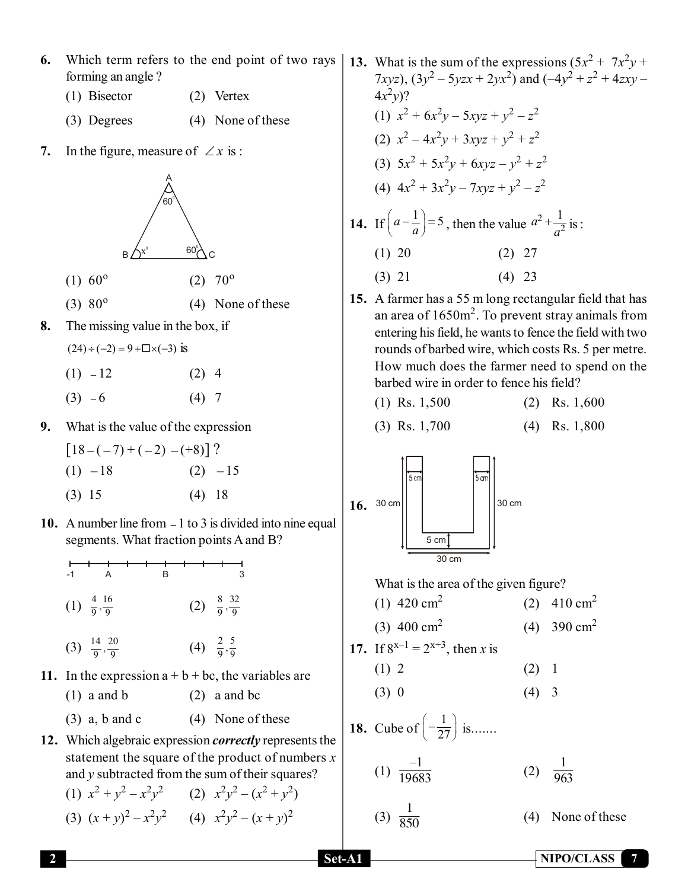- **6.** Which term refers to the end point of two rays forming an angle ?
	- (1) Bisector (2) Vertex
	- (3) Degrees (4) None of these
- **7.** In the figure, measure of  $\angle x$  is :



- $(1)$  60<sup>o</sup>  $(2)$  70<sup>o</sup>
- $(3)$  80<sup>o</sup> (4) None of these
- **8.** The missing value in the box, if

 $(24) \div (-2) = 9 + \square \times (-3)$  is

- $(1)$   $-12$  (2) 4
- $(3) -6$  (4) 7
- **9.** What is the value of the expression

$$
[18 - (-7) + (-2) - (+8)] ?
$$
  
(1) -18 (2) -15  
(3) 15 (4) 18

**10.** A number line from  $-1$  to 3 is divided into nine equal segments. What fraction points A and B?

| $-1$                                  |                                  |  | R |  | 3                               |
|---------------------------------------|----------------------------------|--|---|--|---------------------------------|
|                                       | $(1) \frac{4}{9}, \frac{16}{9}$  |  |   |  | (2) $\frac{8}{9}, \frac{32}{9}$ |
|                                       | (3) $\frac{14}{9}, \frac{20}{9}$ |  |   |  | (4) $\frac{2}{9}, \frac{5}{9}$  |
| In the expression $a + b + bc$ the va |                                  |  |   |  |                                 |

- **11.** In the expression  $a + b + bc$ , the variables are (1) a and b (2) a and bc
	- (3) a, b and c  $(4)$  None of these
- **12.** Which algebraic expression *correctly* represents the statement the square of the product of numbers *x* and *y* subtracted from the sum of their squares?

(1)  $x^2 + y^2 - x^2y^2$  (2)  $x^2y^2 - (x^2 + y^2)$ (3)  $(x+y)^2 - x^2y^2$  (4)  $x^2y^2 - (x+y)^2$ 

- **13.** What is the sum of the expressions  $(5x^2 + 7x^2y + 1)$ 7*xyz*),  $(3y^2 - 5yzx + 2yx^2)$  and  $(-4y^2 + z^2 + 4zxy (4x^2y)$ ? (1)  $x^2 + 6x^2y - 5xyz + y^2 - z^2$  $(x^2)$   $x^2 - 4x^2y + 3xyz + y^2 + z^2$ (3)  $5x^2 + 5x^2y + 6xyz - y^2 + z^2$ (4)  $4x^2 + 3x^2y - 7xyz + y^2 - z^2$ **14.** If  $\left(a - \frac{1}{a}\right) = 5$ , then the value  $a^2 + \frac{1}{a^2}$  $a^2 + \frac{1}{2}$  $+\frac{1}{a^2}$  is :  $(1)$  20  $(2)$  27  $(3)$  21  $(4)$  23
- **15.** A farmer has a 55 m long rectangular field that has an area of  $1650m^2$ . To prevent stray animals from entering his field, he wants to fence the field with two rounds of barbed wire, which costs Rs. 5 per metre. How much does the farmer need to spend on the barbed wire in order to fence his field?

$$
(1) Rs. 1,500 \t(2) Rs. 1,600
$$

$$
(3) Rs. 1,700 \t(4) Rs. 1,800
$$



What is the area of the given figure?

- (1) 420  $\text{cm}^2$ (2)  $410 \text{ cm}^2$
- $(3)$  400 cm<sup>2</sup> (4) 390  $cm<sup>2</sup>$

17. If 
$$
8^{x-1} = 2^{x+3}
$$
, then x is

- (1) 2 (2) 1
- $(3) 0$   $(4) 3$

**18.** Cube of  $\left(-\frac{1}{27}\right)$  is.......

$$
(1) \frac{-1}{19683} \qquad (2) \frac{1}{963}
$$

$$
(3) \ \frac{1}{850}
$$

 $(4)$  None of these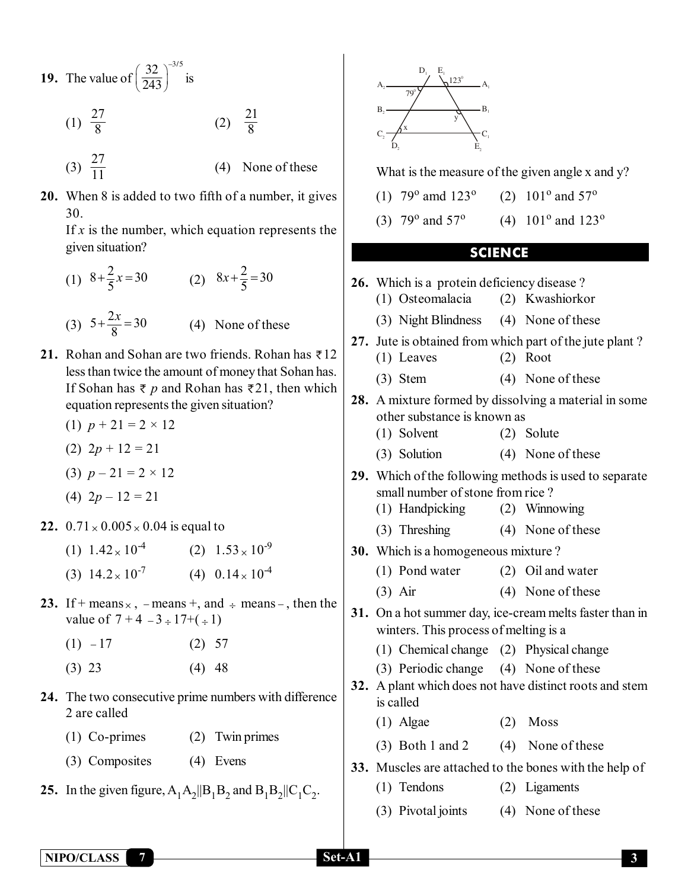- **19.** The value of 32  $\big)^{-3/5}$  $\left(\frac{32}{243}\right)^{3/2}$  is
	- $(1) \frac{27}{8}$  $(2)$  $rac{21}{8}$
	- (3)  $\frac{27}{11}$  $(4)$  None of these
- **20.** When 8 is added to two fifth of a number, it gives 30.

If  $x$  is the number, which equation represents the given situation?

- (1)  $8 + \frac{2}{5}x = 30$  (2)  $8x + \frac{2}{5} = 30$
- (3)  $5 + \frac{2x}{8} = 30$  (4) None of these
- **21.** Rohan and Sohan are two friends. Rohan has  $\bar{\tau}$  12 less than twice the amount of money that Sohan has. If Sohan has  $\bar{\tau}$  *p* and Rohan has  $\bar{\tau}$  21, then which equation represents the given situation?
	- (1)  $p + 21 = 2 \times 12$
	- (2) 2*p* + 12 = 21
	- (3)  $p 21 = 2 \times 12$
	- (4)  $2p 12 = 21$
- **22.**  $0.71 \times 0.005 \times 0.04$  is equal to
	- (1)  $1.42 \times 10^{-4}$  (2)  $1.53 \times 10^{-9}$ (3)  $14.2 \times 10^{-7}$  (4)  $0.14 \times 10^{-4}$
- **23.** If + means  $\times$  , means +, and  $\div$  means , then the value of  $7 + 4 - 3 \div 17 + (\div 1)$ 
	- $(1)$   $-17$   $(2)$  57
	- $(3)$  23  $(4)$  48
- **24.** The two consecutive prime numbers with difference 2 are called
	- (1) Co-primes (2) Twin primes
	- (3) Composites (4) Evens
- **25.** In the given figure,  $A_1A_2||B_1B_2$  and  $B_1B_2||C_1C_2$ .



What is the measure of the given angle x and y?

- (1)  $79^{\circ}$  amd  $123^{\circ}$ (2)  $101^{\circ}$  and  $57^{\circ}$
- (3)  $79^{\circ}$  and  $57^{\circ}$ (4)  $101^{\circ}$  and  $123^{\circ}$

## **SCIENCE**

**26.** Which is a protein deficiency disease ? (1) Osteomalacia (2) Kwashiorkor (3) Night Blindness (4) None of these **27.** Jute is obtained from which part of the jute plant ? (1) Leaves (2) Root (3) Stem (4) None of these **28.** A mixture formed by dissolving a material in some other substance is known as (1) Solvent (2) Solute (3) Solution (4) None of these **29.** Which of the following methods is used to separate small number of stone from rice ? (1) Handpicking (2) Winnowing (3) Threshing (4) None of these **30.** Which is a homogeneous mixture ? (1) Pond water (2) Oil and water (3) Air (4) None of these **31.** On a hot summer day, ice-cream melts faster than in winters. This process of melting is a (1) Chemical change (2) Physical change (3) Periodic change (4) None of these **32.** A plant which does not have distinct roots and stem is called (1) Algae (2) Moss (3) Both 1 and 2  $(4)$  None of these **33.** Muscles are attached to the bones with the help of (1) Tendons (2) Ligaments (3) Pivotal joints (4) None of these

 **NIPO/CLASS 7 Set-A1 3**